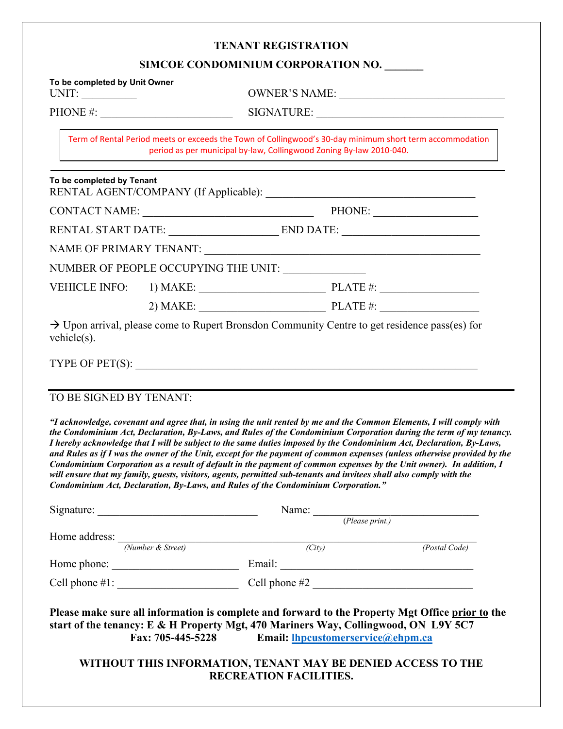|                                                        |                             | <b>TENANT REGISTRATION</b>                                                                                                                                                                                                                                                                                                                                                                                                                                                                                                                                                     |                                                                                                                                                                                                                                                |  |  |  |
|--------------------------------------------------------|-----------------------------|--------------------------------------------------------------------------------------------------------------------------------------------------------------------------------------------------------------------------------------------------------------------------------------------------------------------------------------------------------------------------------------------------------------------------------------------------------------------------------------------------------------------------------------------------------------------------------|------------------------------------------------------------------------------------------------------------------------------------------------------------------------------------------------------------------------------------------------|--|--|--|
|                                                        |                             | SIMCOE CONDOMINIUM CORPORATION NO.                                                                                                                                                                                                                                                                                                                                                                                                                                                                                                                                             |                                                                                                                                                                                                                                                |  |  |  |
| To be completed by Unit Owner<br>UNIT: $\qquad \qquad$ |                             |                                                                                                                                                                                                                                                                                                                                                                                                                                                                                                                                                                                | OWNER'S NAME:                                                                                                                                                                                                                                  |  |  |  |
|                                                        | PHONE #: $\qquad \qquad$    |                                                                                                                                                                                                                                                                                                                                                                                                                                                                                                                                                                                |                                                                                                                                                                                                                                                |  |  |  |
|                                                        |                             | Term of Rental Period meets or exceeds the Town of Collingwood's 30-day minimum short term accommodation<br>period as per municipal by-law, Collingwood Zoning By-law 2010-040.                                                                                                                                                                                                                                                                                                                                                                                                |                                                                                                                                                                                                                                                |  |  |  |
| To be completed by Tenant                              |                             |                                                                                                                                                                                                                                                                                                                                                                                                                                                                                                                                                                                |                                                                                                                                                                                                                                                |  |  |  |
|                                                        | CONTACT NAME: PHONE: PHONE: |                                                                                                                                                                                                                                                                                                                                                                                                                                                                                                                                                                                |                                                                                                                                                                                                                                                |  |  |  |
|                                                        |                             |                                                                                                                                                                                                                                                                                                                                                                                                                                                                                                                                                                                |                                                                                                                                                                                                                                                |  |  |  |
|                                                        |                             |                                                                                                                                                                                                                                                                                                                                                                                                                                                                                                                                                                                |                                                                                                                                                                                                                                                |  |  |  |
|                                                        |                             | NUMBER OF PEOPLE OCCUPYING THE UNIT: ______________                                                                                                                                                                                                                                                                                                                                                                                                                                                                                                                            |                                                                                                                                                                                                                                                |  |  |  |
|                                                        |                             |                                                                                                                                                                                                                                                                                                                                                                                                                                                                                                                                                                                |                                                                                                                                                                                                                                                |  |  |  |
|                                                        |                             |                                                                                                                                                                                                                                                                                                                                                                                                                                                                                                                                                                                |                                                                                                                                                                                                                                                |  |  |  |
| $v$ ehicle $(s)$ .                                     |                             | $\rightarrow$ Upon arrival, please come to Rupert Bronsdon Community Centre to get residence pass(es) for                                                                                                                                                                                                                                                                                                                                                                                                                                                                      |                                                                                                                                                                                                                                                |  |  |  |
|                                                        |                             |                                                                                                                                                                                                                                                                                                                                                                                                                                                                                                                                                                                |                                                                                                                                                                                                                                                |  |  |  |
| TO BE SIGNED BY TENANT:                                |                             |                                                                                                                                                                                                                                                                                                                                                                                                                                                                                                                                                                                |                                                                                                                                                                                                                                                |  |  |  |
|                                                        |                             | "I acknowledge, covenant and agree that, in using the unit rented by me and the Common Elements, I will comply with<br>I hereby acknowledge that I will be subject to the same duties imposed by the Condominium Act, Declaration, By-Laws,<br>Condominium Corporation as a result of default in the payment of common expenses by the Unit owner). In addition, I<br>will ensure that my family, guests, visitors, agents, permitted sub-tenants and invitees shall also comply with the<br>Condominium Act, Declaration, By-Laws, and Rules of the Condominium Corporation." | the Condominium Act, Declaration, By-Laws, and Rules of the Condominium Corporation during the term of my tenancy.<br>and Rules as if I was the owner of the Unit, except for the payment of common expenses (unless otherwise provided by the |  |  |  |
|                                                        |                             |                                                                                                                                                                                                                                                                                                                                                                                                                                                                                                                                                                                | Name: ( <i>Please print.</i> )                                                                                                                                                                                                                 |  |  |  |
|                                                        |                             |                                                                                                                                                                                                                                                                                                                                                                                                                                                                                                                                                                                |                                                                                                                                                                                                                                                |  |  |  |
| Home address: $\frac{N_{\text{}}}{N_{\text{}}}}$       |                             | (City)                                                                                                                                                                                                                                                                                                                                                                                                                                                                                                                                                                         | (Postal Code)                                                                                                                                                                                                                                  |  |  |  |
| Home phone:                                            |                             | Email: The contract of the contract of the contract of the contract of the contract of the contract of the contract of the contract of the contract of the contract of the contract of the contract of the contract of the con                                                                                                                                                                                                                                                                                                                                                 |                                                                                                                                                                                                                                                |  |  |  |

**Please make sure all information is complete and forward to the Property Mgt Office prior to the start of the tenancy: E & H Property Mgt, 470 Mariners Way, Collingwood, ON L9Y 5C7**<br>Fax: 705-445-5228 **Email: lhpcustomerservice@ehpm.ca** 

Cell phone #1: \_\_\_\_\_\_\_\_\_\_\_\_\_\_\_\_\_\_\_\_\_\_ Cell phone #2 \_\_\_\_\_\_\_\_\_\_\_\_\_\_\_\_\_\_\_\_\_\_\_\_\_\_\_\_\_

**Fax: 705-445-5228 Email: [lhpcustomerservice@ehpm.ca](mailto:lhpcustomerservice@ehpm.ca)**

**WITHOUT THIS INFORMATION, TENANT MAY BE DENIED ACCESS TO THE RECREATION FACILITIES.**